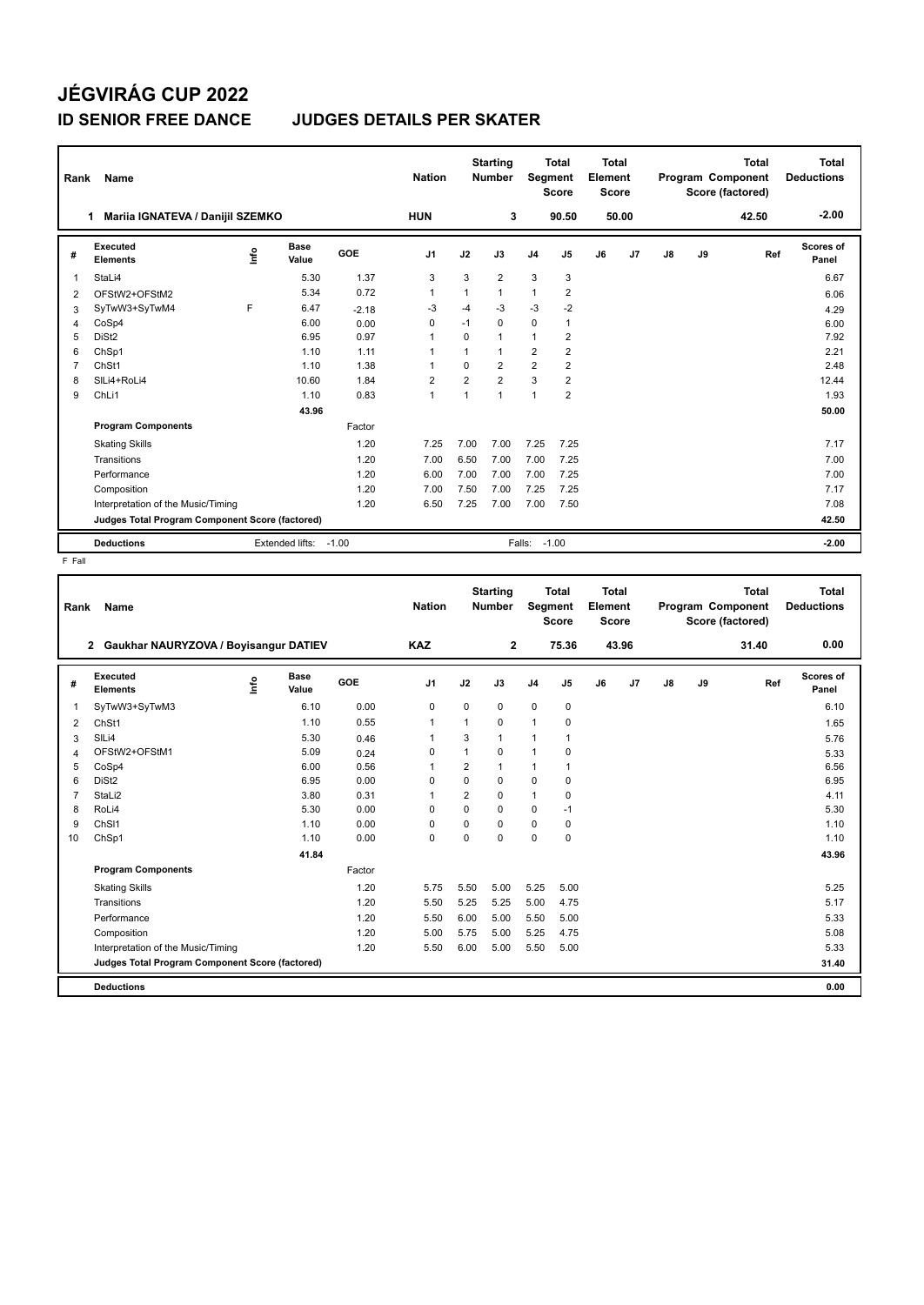## **JÉGVIRÁG CUP 2022**

## **ID SENIOR FREE DANCE JUDGES DETAILS PER SKATER**

| Rank | Name                                            |    |                      |         | <b>Nation</b>  |                | <b>Starting</b><br><b>Number</b> | Segment        | Total<br><b>Score</b> | Total<br>Element<br><b>Score</b> |       |               |    | Total<br>Program Component<br>Score (factored) | <b>Total</b><br><b>Deductions</b> |
|------|-------------------------------------------------|----|----------------------|---------|----------------|----------------|----------------------------------|----------------|-----------------------|----------------------------------|-------|---------------|----|------------------------------------------------|-----------------------------------|
|      | Mariia IGNATEVA / Danijil SZEMKO<br>1.          |    |                      |         | <b>HUN</b>     |                | 3                                |                | 90.50                 |                                  | 50.00 |               |    | 42.50                                          | $-2.00$                           |
| #    | Executed<br><b>Elements</b>                     | ۴ů | <b>Base</b><br>Value | GOE     | J <sub>1</sub> | J2             | J3                               | J <sub>4</sub> | J5                    | J6                               | J7    | $\mathsf{J}8$ | J9 | Ref                                            | Scores of<br>Panel                |
| 1    | StaLi4                                          |    | 5.30                 | 1.37    | 3              | 3              | $\overline{2}$                   | 3              | 3                     |                                  |       |               |    |                                                | 6.67                              |
| 2    | OFStW2+OFStM2                                   |    | 5.34                 | 0.72    | 1              | 1              | $\mathbf{1}$                     | $\mathbf{1}$   | $\overline{2}$        |                                  |       |               |    |                                                | 6.06                              |
| 3    | SyTwW3+SyTwM4                                   | F  | 6.47                 | $-2.18$ | -3             | $-4$           | $-3$                             | $-3$           | $-2$                  |                                  |       |               |    |                                                | 4.29                              |
| 4    | CoSp4                                           |    | 6.00                 | 0.00    | $\Omega$       | $-1$           | 0                                | $\mathbf 0$    | 1                     |                                  |       |               |    |                                                | 6.00                              |
| 5    | DiSt <sub>2</sub>                               |    | 6.95                 | 0.97    | 1              | $\Omega$       | 1                                | 1              | 2                     |                                  |       |               |    |                                                | 7.92                              |
| 6    | ChSp1                                           |    | 1.10                 | 1.11    | 1              | 1              | 1                                | $\overline{2}$ | $\overline{2}$        |                                  |       |               |    |                                                | 2.21                              |
| 7    | ChSt1                                           |    | 1.10                 | 1.38    | 1              | $\Omega$       | $\overline{2}$                   | $\overline{2}$ | $\overline{2}$        |                                  |       |               |    |                                                | 2.48                              |
| 8    | SILi4+RoLi4                                     |    | 10.60                | 1.84    | 2              | $\overline{2}$ | $\overline{2}$                   | 3              | $\overline{2}$        |                                  |       |               |    |                                                | 12.44                             |
| 9    | ChLi1                                           |    | 1.10                 | 0.83    | $\mathbf{1}$   | $\overline{1}$ | 1                                | $\mathbf{1}$   | $\overline{2}$        |                                  |       |               |    |                                                | 1.93                              |
|      | 43.96                                           |    |                      |         |                |                |                                  |                |                       |                                  |       |               |    |                                                | 50.00                             |
|      | Factor<br><b>Program Components</b>             |    |                      |         |                |                |                                  |                |                       |                                  |       |               |    |                                                |                                   |
|      | <b>Skating Skills</b>                           |    |                      | 1.20    | 7.25           | 7.00           | 7.00                             | 7.25           | 7.25                  |                                  |       |               |    |                                                | 7.17                              |
|      | Transitions                                     |    |                      | 1.20    | 7.00           | 6.50           | 7.00                             | 7.00           | 7.25                  |                                  |       |               |    |                                                | 7.00                              |
|      | Performance                                     |    |                      | 1.20    | 6.00           | 7.00           | 7.00                             | 7.00           | 7.25                  |                                  |       |               |    |                                                | 7.00                              |
|      | Composition                                     |    |                      | 1.20    | 7.00           | 7.50           | 7.00                             | 7.25           | 7.25                  |                                  |       |               |    |                                                | 7.17                              |
|      | Interpretation of the Music/Timing              |    |                      | 1.20    | 6.50           | 7.25           | 7.00                             | 7.00           | 7.50                  |                                  |       |               |    |                                                | 7.08                              |
|      | Judges Total Program Component Score (factored) |    |                      |         |                |                |                                  |                |                       |                                  |       |               |    |                                                | 42.50                             |
|      | <b>Deductions</b><br>Extended lifts:<br>$-1.00$ |    |                      |         |                |                | Falls:                           |                | $-1.00$               |                                  |       |               |    |                                                | $-2.00$                           |

F Fall

| Rank           | <b>Name</b>                                     |   |                      |        | <b>Nation</b>  |                | <b>Starting</b><br><b>Number</b> | Segment        | <b>Total</b><br><b>Score</b> | Total<br>Element<br><b>Score</b> |       |               |    | <b>Total</b><br><b>Program Component</b><br>Score (factored) | Total<br><b>Deductions</b> |
|----------------|-------------------------------------------------|---|----------------------|--------|----------------|----------------|----------------------------------|----------------|------------------------------|----------------------------------|-------|---------------|----|--------------------------------------------------------------|----------------------------|
|                | 2 Gaukhar NAURYZOVA / Boyisangur DATIEV         |   |                      |        | <b>KAZ</b>     |                | $\mathbf{2}$                     |                | 75.36                        |                                  | 43.96 |               |    | 31.40                                                        | 0.00                       |
| #              | Executed<br><b>Elements</b>                     | ۴ | <b>Base</b><br>Value | GOE    | J <sub>1</sub> | J2             | J3                               | J <sub>4</sub> | J <sub>5</sub>               | J6                               | J7    | $\mathsf{J}8$ | J9 | Ref                                                          | <b>Scores of</b><br>Panel  |
| 1              | SyTwW3+SyTwM3                                   |   | 6.10                 | 0.00   | $\mathbf 0$    | $\mathbf 0$    | 0                                | $\mathbf 0$    | 0                            |                                  |       |               |    |                                                              | 6.10                       |
| 2              | ChSt1                                           |   | 1.10                 | 0.55   | $\mathbf{1}$   | 1              | $\Omega$                         | $\mathbf{1}$   | 0                            |                                  |       |               |    |                                                              | 1.65                       |
| 3              | SILi4                                           |   | 5.30                 | 0.46   | 1              | 3              | $\mathbf{1}$                     | $\mathbf{1}$   | 1                            |                                  |       |               |    |                                                              | 5.76                       |
| $\overline{4}$ | OFStW2+OFStM1                                   |   | 5.09                 | 0.24   | 0              | 1              | $\Omega$                         | $\mathbf{1}$   | 0                            |                                  |       |               |    |                                                              | 5.33                       |
| 5              | CoSp4                                           |   | 6.00                 | 0.56   | 1              | $\overline{2}$ | $\mathbf{1}$                     | $\mathbf{1}$   | 1                            |                                  |       |               |    |                                                              | 6.56                       |
| 6              | DiSt <sub>2</sub>                               |   | 6.95                 | 0.00   | $\Omega$       | $\mathbf 0$    | $\Omega$                         | $\mathbf 0$    | 0                            |                                  |       |               |    |                                                              | 6.95                       |
| $\overline{7}$ | StaLi2                                          |   | 3.80                 | 0.31   | $\mathbf{1}$   | $\overline{2}$ | 0                                | $\mathbf{1}$   | 0                            |                                  |       |               |    |                                                              | 4.11                       |
| 8              | RoLi4                                           |   | 5.30                 | 0.00   | 0              | $\mathbf 0$    | $\Omega$                         | 0              | $-1$                         |                                  |       |               |    |                                                              | 5.30                       |
| 9              | ChS <sub>11</sub>                               |   | 1.10                 | 0.00   | $\Omega$       | $\Omega$       | $\Omega$                         | $\mathbf 0$    | 0                            |                                  |       |               |    |                                                              | 1.10                       |
| 10             | ChSp1                                           |   | 1.10                 | 0.00   | $\mathbf 0$    | 0              | 0                                | $\mathbf 0$    | 0                            |                                  |       |               |    |                                                              | 1.10                       |
|                |                                                 |   | 41.84                |        |                |                |                                  |                |                              |                                  |       |               |    |                                                              | 43.96                      |
|                | <b>Program Components</b>                       |   |                      | Factor |                |                |                                  |                |                              |                                  |       |               |    |                                                              |                            |
|                | <b>Skating Skills</b>                           |   |                      | 1.20   | 5.75           | 5.50           | 5.00                             | 5.25           | 5.00                         |                                  |       |               |    |                                                              | 5.25                       |
|                | Transitions                                     |   |                      | 1.20   | 5.50           | 5.25           | 5.25                             | 5.00           | 4.75                         |                                  |       |               |    |                                                              | 5.17                       |
|                | Performance                                     |   |                      | 1.20   | 5.50           | 6.00           | 5.00                             | 5.50           | 5.00                         |                                  |       |               |    |                                                              | 5.33                       |
|                | Composition                                     |   |                      | 1.20   | 5.00           | 5.75           | 5.00                             | 5.25           | 4.75                         |                                  |       |               |    |                                                              | 5.08                       |
|                | Interpretation of the Music/Timing              |   |                      | 1.20   | 5.50           | 6.00           | 5.00                             | 5.50           | 5.00                         |                                  |       |               |    |                                                              | 5.33                       |
|                | Judges Total Program Component Score (factored) |   |                      |        |                |                |                                  |                |                              |                                  |       |               |    |                                                              | 31.40                      |
|                |                                                 |   |                      |        |                |                |                                  |                |                              |                                  |       |               |    |                                                              |                            |
|                | <b>Deductions</b>                               |   |                      |        |                |                |                                  |                |                              |                                  |       |               |    |                                                              | 0.00                       |